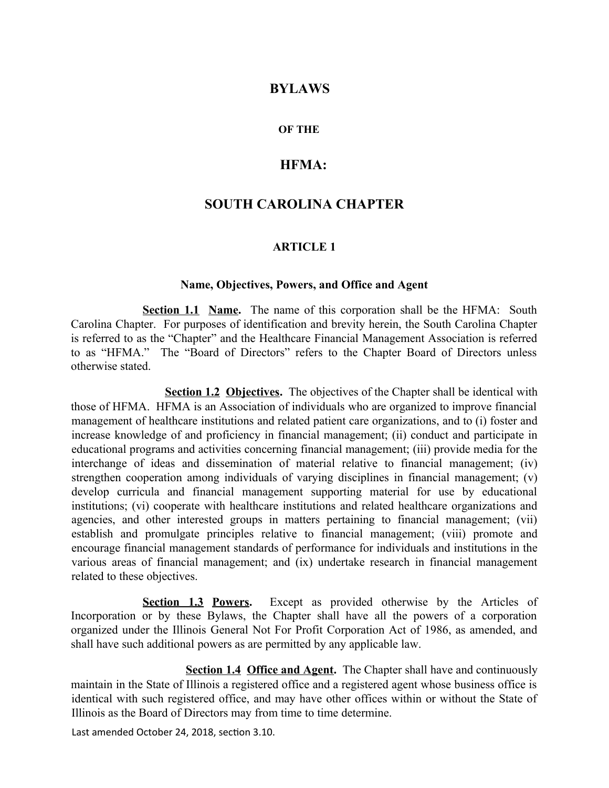## **BYLAWS**

#### **OF THE**

# **HFMA:**

# **SOUTH CAROLINA CHAPTER**

#### **ARTICLE 1**

#### **Name, Objectives, Powers, and Office and Agent**

**Section 1.1 Name.** The name of this corporation shall be the HFMA: South Carolina Chapter. For purposes of identification and brevity herein, the South Carolina Chapter is referred to as the "Chapter" and the Healthcare Financial Management Association is referred to as "HFMA." The "Board of Directors" refers to the Chapter Board of Directors unless otherwise stated.

**Section 1.2 Objectives.** The objectives of the Chapter shall be identical with those of HFMA. HFMA is an Association of individuals who are organized to improve financial management of healthcare institutions and related patient care organizations, and to (i) foster and increase knowledge of and proficiency in financial management; (ii) conduct and participate in educational programs and activities concerning financial management; (iii) provide media for the interchange of ideas and dissemination of material relative to financial management; (iv) strengthen cooperation among individuals of varying disciplines in financial management; (v) develop curricula and financial management supporting material for use by educational institutions; (vi) cooperate with healthcare institutions and related healthcare organizations and agencies, and other interested groups in matters pertaining to financial management; (vii) establish and promulgate principles relative to financial management; (viii) promote and encourage financial management standards of performance for individuals and institutions in the various areas of financial management; and (ix) undertake research in financial management related to these objectives.

**Section 1.3 Powers.** Except as provided otherwise by the Articles of Incorporation or by these Bylaws, the Chapter shall have all the powers of a corporation organized under the Illinois General Not For Profit Corporation Act of 1986, as amended, and shall have such additional powers as are permitted by any applicable law.

**Section 1.4 Office and Agent.** The Chapter shall have and continuously maintain in the State of Illinois a registered office and a registered agent whose business office is identical with such registered office, and may have other offices within or without the State of Illinois as the Board of Directors may from time to time determine.

Last amended October 24, 2018, section 3.10.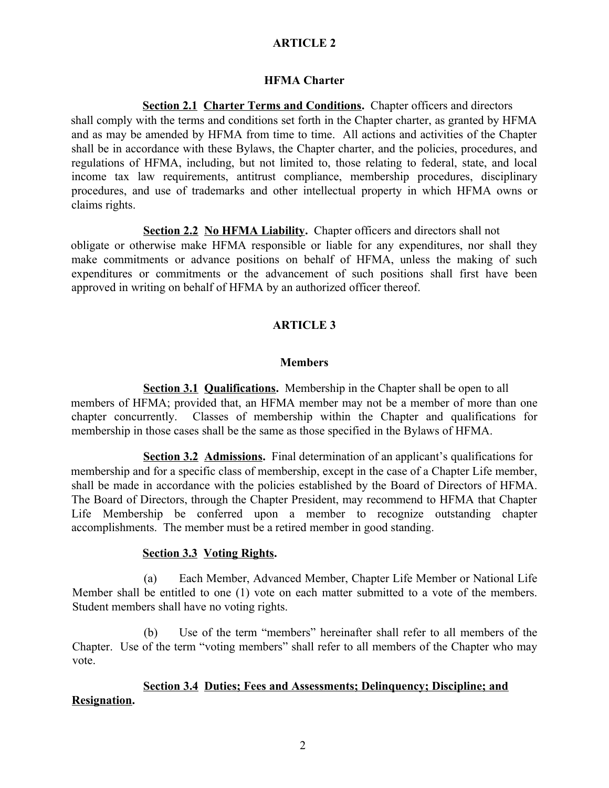# **ARTICLE 2**

#### **HFMA Charter**

**Section 2.1 Charter Terms and Conditions.** Chapter officers and directors shall comply with the terms and conditions set forth in the Chapter charter, as granted by HFMA and as may be amended by HFMA from time to time. All actions and activities of the Chapter shall be in accordance with these Bylaws, the Chapter charter, and the policies, procedures, and regulations of HFMA, including, but not limited to, those relating to federal, state, and local income tax law requirements, antitrust compliance, membership procedures, disciplinary procedures, and use of trademarks and other intellectual property in which HFMA owns or claims rights.

**Section 2.2 No HFMA Liability.** Chapter officers and directors shall not obligate or otherwise make HFMA responsible or liable for any expenditures, nor shall they make commitments or advance positions on behalf of HFMA, unless the making of such expenditures or commitments or the advancement of such positions shall first have been approved in writing on behalf of HFMA by an authorized officer thereof.

#### **ARTICLE 3**

#### **Members**

**Section 3.1 Qualifications.** Membership in the Chapter shall be open to all members of HFMA; provided that, an HFMA member may not be a member of more than one chapter concurrently. Classes of membership within the Chapter and qualifications for membership in those cases shall be the same as those specified in the Bylaws of HFMA.

**Section 3.2 Admissions.** Final determination of an applicant's qualifications for membership and for a specific class of membership, except in the case of a Chapter Life member, shall be made in accordance with the policies established by the Board of Directors of HFMA. The Board of Directors, through the Chapter President, may recommend to HFMA that Chapter Life Membership be conferred upon a member to recognize outstanding chapter accomplishments. The member must be a retired member in good standing.

#### **Section 3.3 Voting Rights.**

(a) Each Member, Advanced Member, Chapter Life Member or National Life Member shall be entitled to one (1) vote on each matter submitted to a vote of the members. Student members shall have no voting rights.

(b) Use of the term "members" hereinafter shall refer to all members of the Chapter. Use of the term "voting members" shall refer to all members of the Chapter who may vote.

## **Section 3.4 Duties; Fees and Assessments; Delinquency; Discipline; and Resignation.**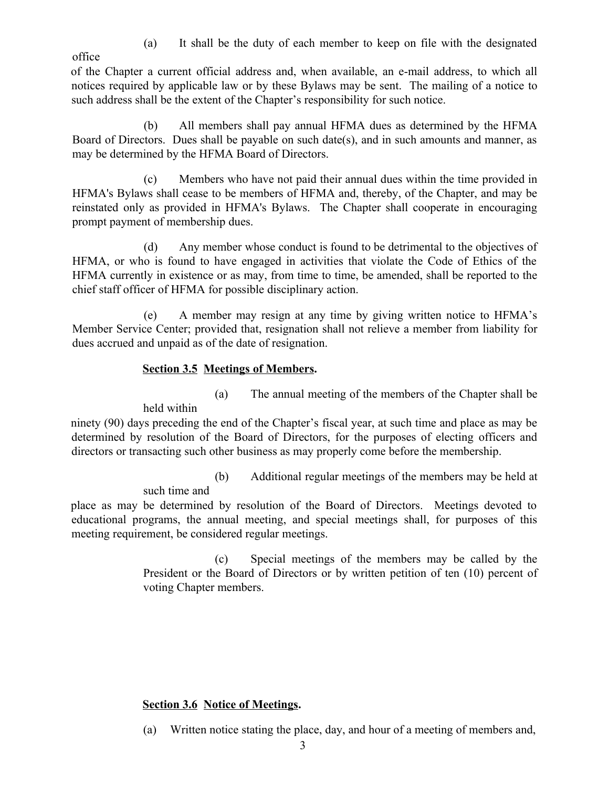(a) It shall be the duty of each member to keep on file with the designated

office

of the Chapter a current official address and, when available, an e-mail address, to which all notices required by applicable law or by these Bylaws may be sent. The mailing of a notice to such address shall be the extent of the Chapter's responsibility for such notice.

(b) All members shall pay annual HFMA dues as determined by the HFMA Board of Directors. Dues shall be payable on such date(s), and in such amounts and manner, as may be determined by the HFMA Board of Directors.

(c) Members who have not paid their annual dues within the time provided in HFMA's Bylaws shall cease to be members of HFMA and, thereby, of the Chapter, and may be reinstated only as provided in HFMA's Bylaws. The Chapter shall cooperate in encouraging prompt payment of membership dues.

(d) Any member whose conduct is found to be detrimental to the objectives of HFMA, or who is found to have engaged in activities that violate the Code of Ethics of the HFMA currently in existence or as may, from time to time, be amended, shall be reported to the chief staff officer of HFMA for possible disciplinary action.

(e) A member may resign at any time by giving written notice to HFMA's Member Service Center; provided that, resignation shall not relieve a member from liability for dues accrued and unpaid as of the date of resignation.

# **Section 3.5 Meetings of Members.**

(a) The annual meeting of the members of the Chapter shall be

held within

ninety (90) days preceding the end of the Chapter's fiscal year, at such time and place as may be determined by resolution of the Board of Directors, for the purposes of electing officers and directors or transacting such other business as may properly come before the membership.

(b) Additional regular meetings of the members may be held at

such time and

place as may be determined by resolution of the Board of Directors. Meetings devoted to educational programs, the annual meeting, and special meetings shall, for purposes of this meeting requirement, be considered regular meetings.

> (c) Special meetings of the members may be called by the President or the Board of Directors or by written petition of ten (10) percent of voting Chapter members.

# **Section 3.6 Notice of Meetings.**

(a) Written notice stating the place, day, and hour of a meeting of members and,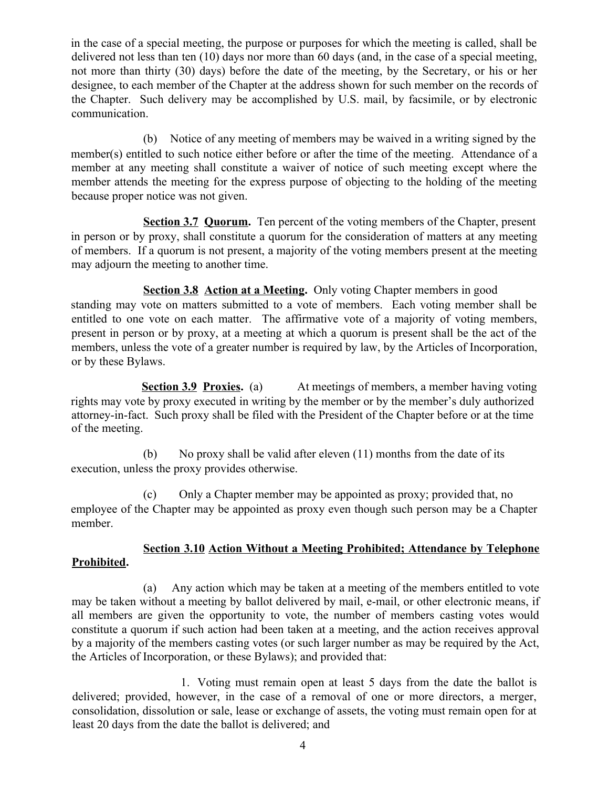in the case of a special meeting, the purpose or purposes for which the meeting is called, shall be delivered not less than ten (10) days nor more than 60 days (and, in the case of a special meeting, not more than thirty (30) days) before the date of the meeting, by the Secretary, or his or her designee, to each member of the Chapter at the address shown for such member on the records of the Chapter. Such delivery may be accomplished by U.S. mail, by facsimile, or by electronic communication.

(b) Notice of any meeting of members may be waived in a writing signed by the member(s) entitled to such notice either before or after the time of the meeting. Attendance of a member at any meeting shall constitute a waiver of notice of such meeting except where the member attends the meeting for the express purpose of objecting to the holding of the meeting because proper notice was not given.

**Section 3.7 Quorum.** Ten percent of the voting members of the Chapter, present in person or by proxy, shall constitute a quorum for the consideration of matters at any meeting of members. If a quorum is not present, a majority of the voting members present at the meeting may adjourn the meeting to another time.

**Section 3.8 Action at a Meeting.** Only voting Chapter members in good standing may vote on matters submitted to a vote of members. Each voting member shall be entitled to one vote on each matter. The affirmative vote of a majority of voting members, present in person or by proxy, at a meeting at which a quorum is present shall be the act of the members, unless the vote of a greater number is required by law, by the Articles of Incorporation, or by these Bylaws.

**Section 3.9 Proxies.** (a) At meetings of members, a member having voting rights may vote by proxy executed in writing by the member or by the member's duly authorized attorney-in-fact. Such proxy shall be filed with the President of the Chapter before or at the time of the meeting.

(b) No proxy shall be valid after eleven (11) months from the date of its execution, unless the proxy provides otherwise.

(c) Only a Chapter member may be appointed as proxy; provided that, no employee of the Chapter may be appointed as proxy even though such person may be a Chapter member.

# **Section 3.10 Action Without a Meeting Prohibited; Attendance by Telephone**

# **Prohibited.**

(a) Any action which may be taken at a meeting of the members entitled to vote may be taken without a meeting by ballot delivered by mail, e-mail, or other electronic means, if all members are given the opportunity to vote, the number of members casting votes would constitute a quorum if such action had been taken at a meeting, and the action receives approval by a majority of the members casting votes (or such larger number as may be required by the Act, the Articles of Incorporation, or these Bylaws); and provided that:

 1. Voting must remain open at least 5 days from the date the ballot is delivered; provided, however, in the case of a removal of one or more directors, a merger, consolidation, dissolution or sale, lease or exchange of assets, the voting must remain open for at least 20 days from the date the ballot is delivered; and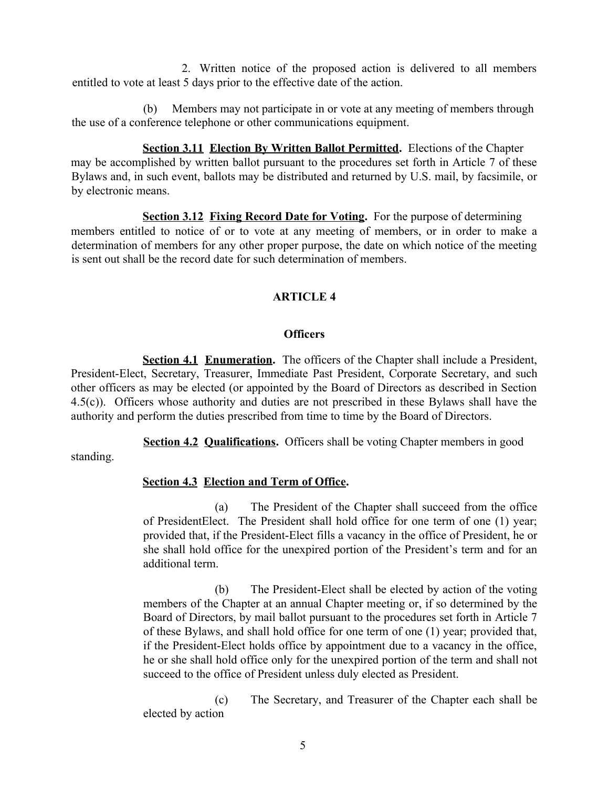2. Written notice of the proposed action is delivered to all members entitled to vote at least 5 days prior to the effective date of the action.

(b) Members may not participate in or vote at any meeting of members through the use of a conference telephone or other communications equipment.

**Section 3.11 Election By Written Ballot Permitted.** Elections of the Chapter may be accomplished by written ballot pursuant to the procedures set forth in Article 7 of these Bylaws and, in such event, ballots may be distributed and returned by U.S. mail, by facsimile, or by electronic means.

**<u>Section 3.12 Fixing Record Date for Voting</u>**. For the purpose of determining members entitled to notice of or to vote at any meeting of members, or in order to make a determination of members for any other proper purpose, the date on which notice of the meeting is sent out shall be the record date for such determination of members.

## **ARTICLE 4**

#### **Officers**

**Section 4.1 Enumeration.** The officers of the Chapter shall include a President, President-Elect, Secretary, Treasurer, Immediate Past President, Corporate Secretary, and such other officers as may be elected (or appointed by the Board of Directors as described in Section 4.5(c)). Officers whose authority and duties are not prescribed in these Bylaws shall have the authority and perform the duties prescribed from time to time by the Board of Directors.

**Section 4.2 Qualifications.** Officers shall be voting Chapter members in good

standing.

## **Section 4.3 Election and Term of Office.**

(a) The President of the Chapter shall succeed from the office of PresidentElect. The President shall hold office for one term of one (1) year; provided that, if the President-Elect fills a vacancy in the office of President, he or she shall hold office for the unexpired portion of the President's term and for an additional term.

(b) The President-Elect shall be elected by action of the voting members of the Chapter at an annual Chapter meeting or, if so determined by the Board of Directors, by mail ballot pursuant to the procedures set forth in Article 7 of these Bylaws, and shall hold office for one term of one (1) year; provided that, if the President-Elect holds office by appointment due to a vacancy in the office, he or she shall hold office only for the unexpired portion of the term and shall not succeed to the office of President unless duly elected as President.

(c) The Secretary, and Treasurer of the Chapter each shall be elected by action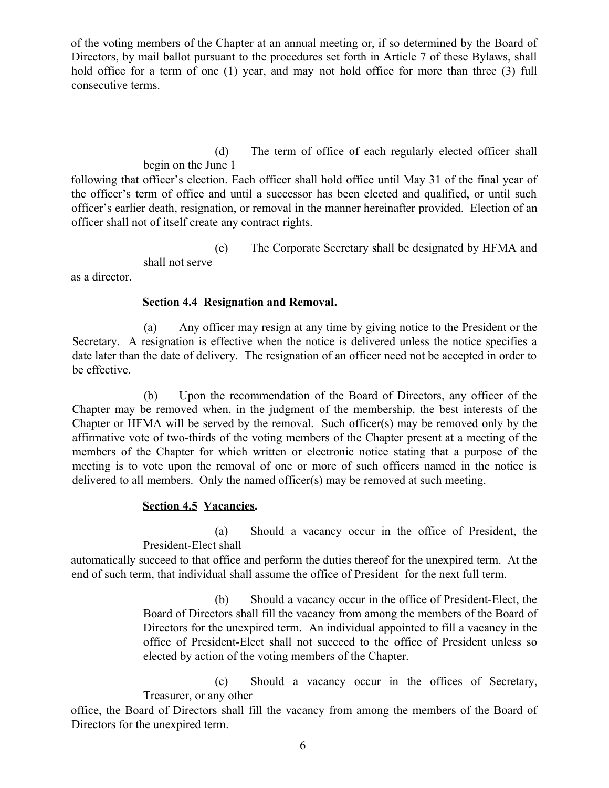of the voting members of the Chapter at an annual meeting or, if so determined by the Board of Directors, by mail ballot pursuant to the procedures set forth in Article 7 of these Bylaws, shall hold office for a term of one (1) year, and may not hold office for more than three (3) full consecutive terms.

> (d) The term of office of each regularly elected officer shall begin on the June 1

following that officer's election. Each officer shall hold office until May 31 of the final year of the officer's term of office and until a successor has been elected and qualified, or until such officer's earlier death, resignation, or removal in the manner hereinafter provided. Election of an officer shall not of itself create any contract rights.

(e) The Corporate Secretary shall be designated by HFMA and

shall not serve

as a director.

## **Section 4.4 Resignation and Removal.**

(a) Any officer may resign at any time by giving notice to the President or the Secretary. A resignation is effective when the notice is delivered unless the notice specifies a date later than the date of delivery. The resignation of an officer need not be accepted in order to be effective.

(b) Upon the recommendation of the Board of Directors, any officer of the Chapter may be removed when, in the judgment of the membership, the best interests of the Chapter or HFMA will be served by the removal. Such officer(s) may be removed only by the affirmative vote of two-thirds of the voting members of the Chapter present at a meeting of the members of the Chapter for which written or electronic notice stating that a purpose of the meeting is to vote upon the removal of one or more of such officers named in the notice is delivered to all members. Only the named officer(s) may be removed at such meeting.

# **Section 4.5 Vacancies.**

(a) Should a vacancy occur in the office of President, the President-Elect shall

automatically succeed to that office and perform the duties thereof for the unexpired term. At the end of such term, that individual shall assume the office of President for the next full term.

> (b) Should a vacancy occur in the office of President-Elect, the Board of Directors shall fill the vacancy from among the members of the Board of Directors for the unexpired term. An individual appointed to fill a vacancy in the office of President-Elect shall not succeed to the office of President unless so elected by action of the voting members of the Chapter.

(c) Should a vacancy occur in the offices of Secretary, Treasurer, or any other

office, the Board of Directors shall fill the vacancy from among the members of the Board of Directors for the unexpired term.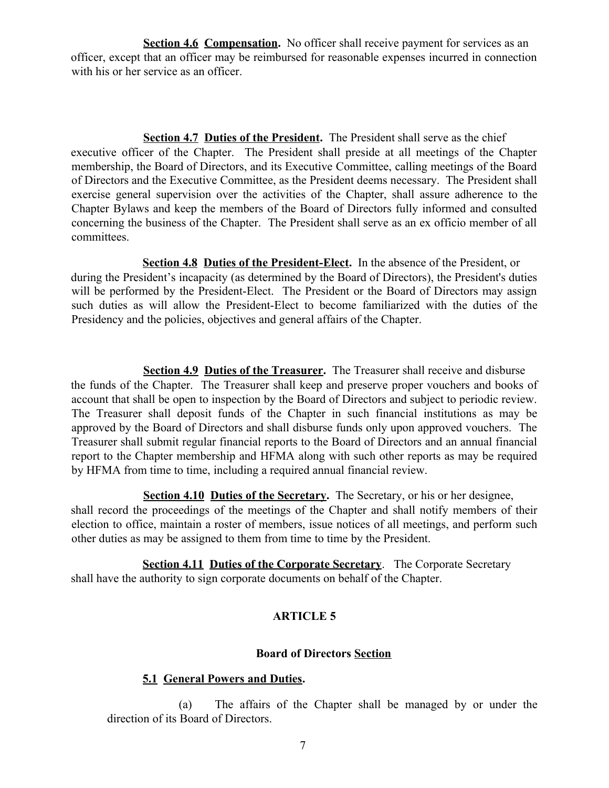**Section 4.6 Compensation.** No officer shall receive payment for services as an officer, except that an officer may be reimbursed for reasonable expenses incurred in connection with his or her service as an officer.

**Section 4.7 Duties of the President.** The President shall serve as the chief executive officer of the Chapter. The President shall preside at all meetings of the Chapter membership, the Board of Directors, and its Executive Committee, calling meetings of the Board of Directors and the Executive Committee, as the President deems necessary. The President shall exercise general supervision over the activities of the Chapter, shall assure adherence to the Chapter Bylaws and keep the members of the Board of Directors fully informed and consulted concerning the business of the Chapter. The President shall serve as an ex officio member of all committees.

**Section 4.8 Duties of the President-Elect.** In the absence of the President, or during the President's incapacity (as determined by the Board of Directors), the President's duties will be performed by the President-Elect. The President or the Board of Directors may assign such duties as will allow the President-Elect to become familiarized with the duties of the Presidency and the policies, objectives and general affairs of the Chapter.

**Section 4.9 Duties of the Treasurer.** The Treasurer shall receive and disburse the funds of the Chapter. The Treasurer shall keep and preserve proper vouchers and books of account that shall be open to inspection by the Board of Directors and subject to periodic review. The Treasurer shall deposit funds of the Chapter in such financial institutions as may be approved by the Board of Directors and shall disburse funds only upon approved vouchers. The Treasurer shall submit regular financial reports to the Board of Directors and an annual financial report to the Chapter membership and HFMA along with such other reports as may be required by HFMA from time to time, including a required annual financial review.

**Section 4.10 Duties of the Secretary.** The Secretary, or his or her designee, shall record the proceedings of the meetings of the Chapter and shall notify members of their election to office, maintain a roster of members, issue notices of all meetings, and perform such other duties as may be assigned to them from time to time by the President.

**Section 4.11 Duties of the Corporate Secretary**. The Corporate Secretary shall have the authority to sign corporate documents on behalf of the Chapter.

## **ARTICLE 5**

## **Board of Directors Section**

## **5.1 General Powers and Duties.**

(a) The affairs of the Chapter shall be managed by or under the direction of its Board of Directors.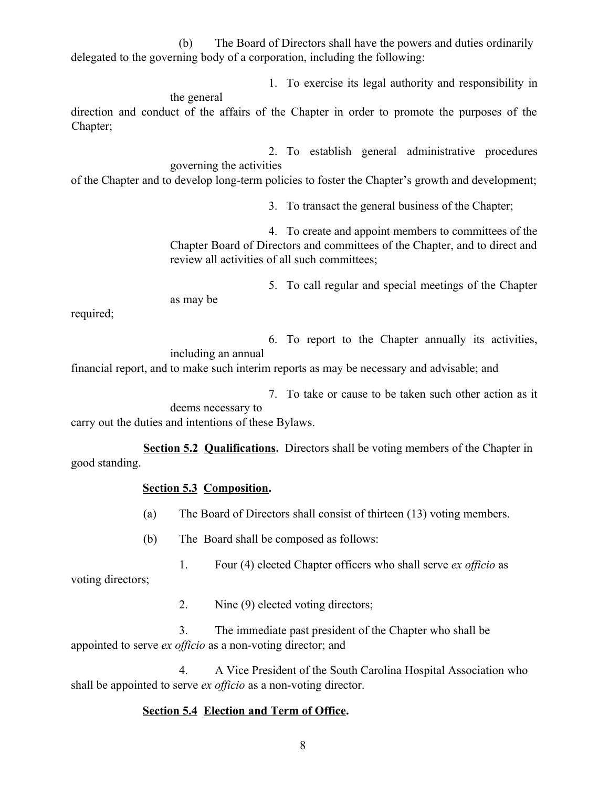(b) The Board of Directors shall have the powers and duties ordinarily delegated to the governing body of a corporation, including the following:

1. To exercise its legal authority and responsibility in

the general

direction and conduct of the affairs of the Chapter in order to promote the purposes of the Chapter;

2. To establish general administrative procedures governing the activities

of the Chapter and to develop long-term policies to foster the Chapter's growth and development;

3. To transact the general business of the Chapter;

4. To create and appoint members to committees of the Chapter Board of Directors and committees of the Chapter, and to direct and review all activities of all such committees;

5. To call regular and special meetings of the Chapter as may be

required;

6. To report to the Chapter annually its activities,

including an annual

financial report, and to make such interim reports as may be necessary and advisable; and

7. To take or cause to be taken such other action as it

deems necessary to carry out the duties and intentions of these Bylaws.

**Section 5.2 Qualifications.** Directors shall be voting members of the Chapter in good standing.

## **Section 5.3 Composition.**

- (a) The Board of Directors shall consist of thirteen (13) voting members.
- (b) The Board shall be composed as follows:
- 1. Four (4) elected Chapter officers who shall serve *ex officio* as

voting directors;

2. Nine (9) elected voting directors;

3. The immediate past president of the Chapter who shall be appointed to serve *ex officio* as a non-voting director; and

4. A Vice President of the South Carolina Hospital Association who shall be appointed to serve *ex officio* as a non-voting director.

# **Section 5.4 Election and Term of Office.**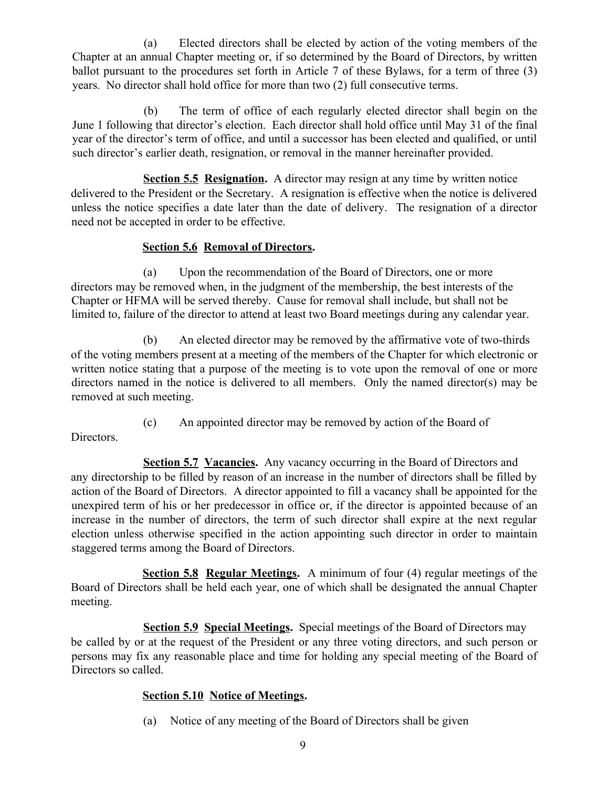(a) Elected directors shall be elected by action of the voting members of the Chapter at an annual Chapter meeting or, if so determined by the Board of Directors, by written ballot pursuant to the procedures set forth in Article 7 of these Bylaws, for a term of three (3) years. No director shall hold office for more than two (2) full consecutive terms.

(b) The term of office of each regularly elected director shall begin on the June 1 following that director's election. Each director shall hold office until May 31 of the final year of the director's term of office, and until a successor has been elected and qualified, or until such director's earlier death, resignation, or removal in the manner hereinafter provided.

**Section 5.5 Resignation.** A director may resign at any time by written notice delivered to the President or the Secretary. A resignation is effective when the notice is delivered unless the notice specifies a date later than the date of delivery. The resignation of a director need not be accepted in order to be effective.

# **Section 5.6 Removal of Directors.**

(a) Upon the recommendation of the Board of Directors, one or more directors may be removed when, in the judgment of the membership, the best interests of the Chapter or HFMA will be served thereby. Cause for removal shall include, but shall not be limited to, failure of the director to attend at least two Board meetings during any calendar year.

(b) An elected director may be removed by the affirmative vote of two-thirds of the voting members present at a meeting of the members of the Chapter for which electronic or written notice stating that a purpose of the meeting is to vote upon the removal of one or more directors named in the notice is delivered to all members. Only the named director(s) may be removed at such meeting.

(c) An appointed director may be removed by action of the Board of

Directors.

**Section 5.7 Vacancies.** Any vacancy occurring in the Board of Directors and any directorship to be filled by reason of an increase in the number of directors shall be filled by action of the Board of Directors. A director appointed to fill a vacancy shall be appointed for the unexpired term of his or her predecessor in office or, if the director is appointed because of an increase in the number of directors, the term of such director shall expire at the next regular election unless otherwise specified in the action appointing such director in order to maintain staggered terms among the Board of Directors.

**Section 5.8 Regular Meetings.** A minimum of four (4) regular meetings of the Board of Directors shall be held each year, one of which shall be designated the annual Chapter meeting.

**Section 5.9 Special Meetings.** Special meetings of the Board of Directors may be called by or at the request of the President or any three voting directors, and such person or persons may fix any reasonable place and time for holding any special meeting of the Board of Directors so called.

# **Section 5.10 Notice of Meetings.**

(a) Notice of any meeting of the Board of Directors shall be given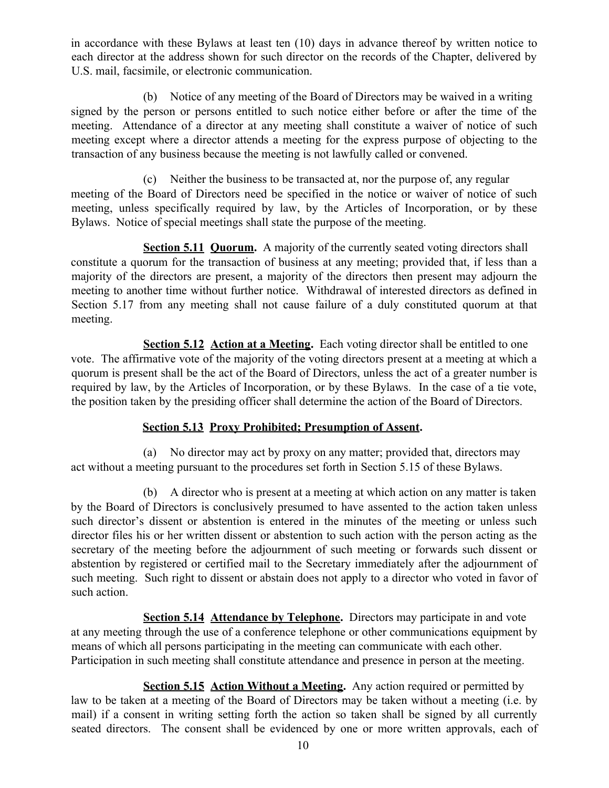in accordance with these Bylaws at least ten (10) days in advance thereof by written notice to each director at the address shown for such director on the records of the Chapter, delivered by U.S. mail, facsimile, or electronic communication.

(b) Notice of any meeting of the Board of Directors may be waived in a writing signed by the person or persons entitled to such notice either before or after the time of the meeting. Attendance of a director at any meeting shall constitute a waiver of notice of such meeting except where a director attends a meeting for the express purpose of objecting to the transaction of any business because the meeting is not lawfully called or convened.

(c) Neither the business to be transacted at, nor the purpose of, any regular meeting of the Board of Directors need be specified in the notice or waiver of notice of such meeting, unless specifically required by law, by the Articles of Incorporation, or by these Bylaws. Notice of special meetings shall state the purpose of the meeting.

**Section 5.11 Quorum.** A majority of the currently seated voting directors shall constitute a quorum for the transaction of business at any meeting; provided that, if less than a majority of the directors are present, a majority of the directors then present may adjourn the meeting to another time without further notice. Withdrawal of interested directors as defined in Section 5.17 from any meeting shall not cause failure of a duly constituted quorum at that meeting.

**Section 5.12 Action at a Meeting.** Each voting director shall be entitled to one vote. The affirmative vote of the majority of the voting directors present at a meeting at which a quorum is present shall be the act of the Board of Directors, unless the act of a greater number is required by law, by the Articles of Incorporation, or by these Bylaws. In the case of a tie vote, the position taken by the presiding officer shall determine the action of the Board of Directors.

# **Section 5.13 Proxy Prohibited; Presumption of Assent.**

(a) No director may act by proxy on any matter; provided that, directors may act without a meeting pursuant to the procedures set forth in Section 5.15 of these Bylaws.

(b) A director who is present at a meeting at which action on any matter is taken by the Board of Directors is conclusively presumed to have assented to the action taken unless such director's dissent or abstention is entered in the minutes of the meeting or unless such director files his or her written dissent or abstention to such action with the person acting as the secretary of the meeting before the adjournment of such meeting or forwards such dissent or abstention by registered or certified mail to the Secretary immediately after the adjournment of such meeting. Such right to dissent or abstain does not apply to a director who voted in favor of such action.

**Section 5.14 Attendance by Telephone.** Directors may participate in and vote at any meeting through the use of a conference telephone or other communications equipment by means of which all persons participating in the meeting can communicate with each other. Participation in such meeting shall constitute attendance and presence in person at the meeting.

**Section 5.15 Action Without a Meeting.** Any action required or permitted by law to be taken at a meeting of the Board of Directors may be taken without a meeting (i.e. by mail) if a consent in writing setting forth the action so taken shall be signed by all currently seated directors. The consent shall be evidenced by one or more written approvals, each of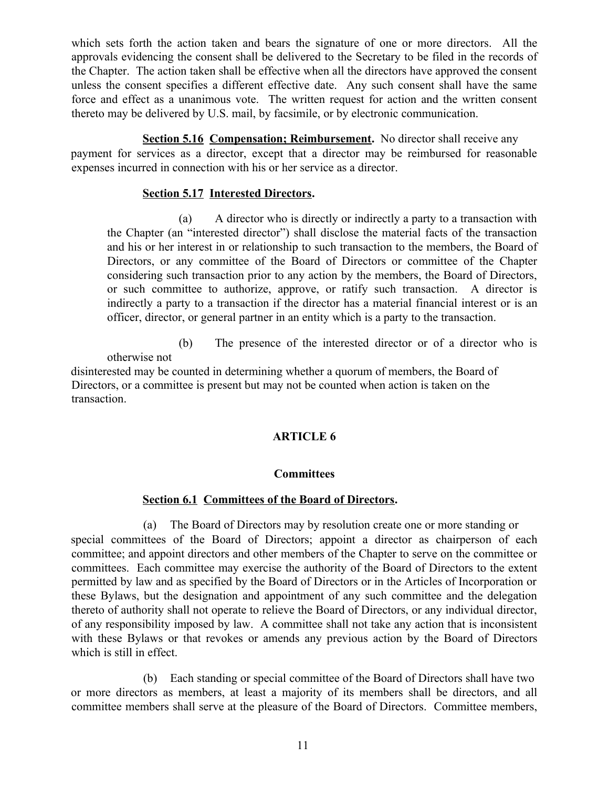which sets forth the action taken and bears the signature of one or more directors. All the approvals evidencing the consent shall be delivered to the Secretary to be filed in the records of the Chapter. The action taken shall be effective when all the directors have approved the consent unless the consent specifies a different effective date. Any such consent shall have the same force and effect as a unanimous vote. The written request for action and the written consent thereto may be delivered by U.S. mail, by facsimile, or by electronic communication.

**Section 5.16 Compensation; Reimbursement.** No director shall receive any

payment for services as a director, except that a director may be reimbursed for reasonable expenses incurred in connection with his or her service as a director.

#### **Section 5.17 Interested Directors.**

(a) A director who is directly or indirectly a party to a transaction with the Chapter (an "interested director") shall disclose the material facts of the transaction and his or her interest in or relationship to such transaction to the members, the Board of Directors, or any committee of the Board of Directors or committee of the Chapter considering such transaction prior to any action by the members, the Board of Directors, or such committee to authorize, approve, or ratify such transaction. A director is indirectly a party to a transaction if the director has a material financial interest or is an officer, director, or general partner in an entity which is a party to the transaction.

(b) The presence of the interested director or of a director who is otherwise not

disinterested may be counted in determining whether a quorum of members, the Board of Directors, or a committee is present but may not be counted when action is taken on the transaction.

## **ARTICLE 6**

## **Committees**

## **Section 6.1 Committees of the Board of Directors.**

(a) The Board of Directors may by resolution create one or more standing or special committees of the Board of Directors; appoint a director as chairperson of each committee; and appoint directors and other members of the Chapter to serve on the committee or committees. Each committee may exercise the authority of the Board of Directors to the extent permitted by law and as specified by the Board of Directors or in the Articles of Incorporation or these Bylaws, but the designation and appointment of any such committee and the delegation thereto of authority shall not operate to relieve the Board of Directors, or any individual director, of any responsibility imposed by law. A committee shall not take any action that is inconsistent with these Bylaws or that revokes or amends any previous action by the Board of Directors which is still in effect.

(b) Each standing or special committee of the Board of Directors shall have two or more directors as members, at least a majority of its members shall be directors, and all committee members shall serve at the pleasure of the Board of Directors. Committee members,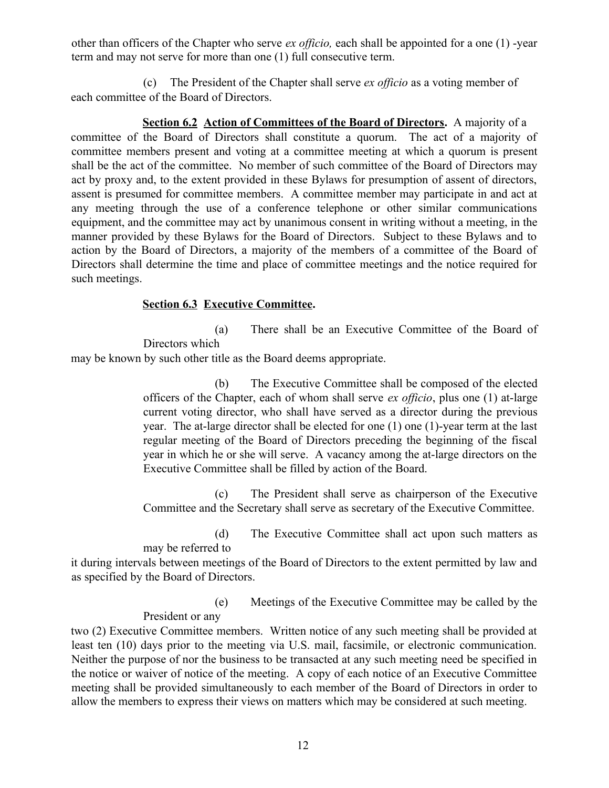other than officers of the Chapter who serve *ex officio,* each shall be appointed for a one (1) -year term and may not serve for more than one (1) full consecutive term.

(c) The President of the Chapter shall serve *ex officio* as a voting member of each committee of the Board of Directors.

**Section 6.2 Action of Committees of the Board of Directors.** A majority of a committee of the Board of Directors shall constitute a quorum. The act of a majority of committee members present and voting at a committee meeting at which a quorum is present shall be the act of the committee. No member of such committee of the Board of Directors may act by proxy and, to the extent provided in these Bylaws for presumption of assent of directors, assent is presumed for committee members. A committee member may participate in and act at any meeting through the use of a conference telephone or other similar communications equipment, and the committee may act by unanimous consent in writing without a meeting, in the manner provided by these Bylaws for the Board of Directors. Subject to these Bylaws and to action by the Board of Directors, a majority of the members of a committee of the Board of Directors shall determine the time and place of committee meetings and the notice required for such meetings.

## **Section 6.3 Executive Committee.**

(a) There shall be an Executive Committee of the Board of Directors which

may be known by such other title as the Board deems appropriate.

(b) The Executive Committee shall be composed of the elected officers of the Chapter, each of whom shall serve *ex officio*, plus one (1) at-large current voting director, who shall have served as a director during the previous year. The at-large director shall be elected for one (1) one (1)-year term at the last regular meeting of the Board of Directors preceding the beginning of the fiscal year in which he or she will serve. A vacancy among the at-large directors on the Executive Committee shall be filled by action of the Board.

(c) The President shall serve as chairperson of the Executive Committee and the Secretary shall serve as secretary of the Executive Committee.

(d) The Executive Committee shall act upon such matters as may be referred to

it during intervals between meetings of the Board of Directors to the extent permitted by law and as specified by the Board of Directors.

> (e) Meetings of the Executive Committee may be called by the President or any

two (2) Executive Committee members. Written notice of any such meeting shall be provided at least ten (10) days prior to the meeting via U.S. mail, facsimile, or electronic communication. Neither the purpose of nor the business to be transacted at any such meeting need be specified in the notice or waiver of notice of the meeting. A copy of each notice of an Executive Committee meeting shall be provided simultaneously to each member of the Board of Directors in order to allow the members to express their views on matters which may be considered at such meeting.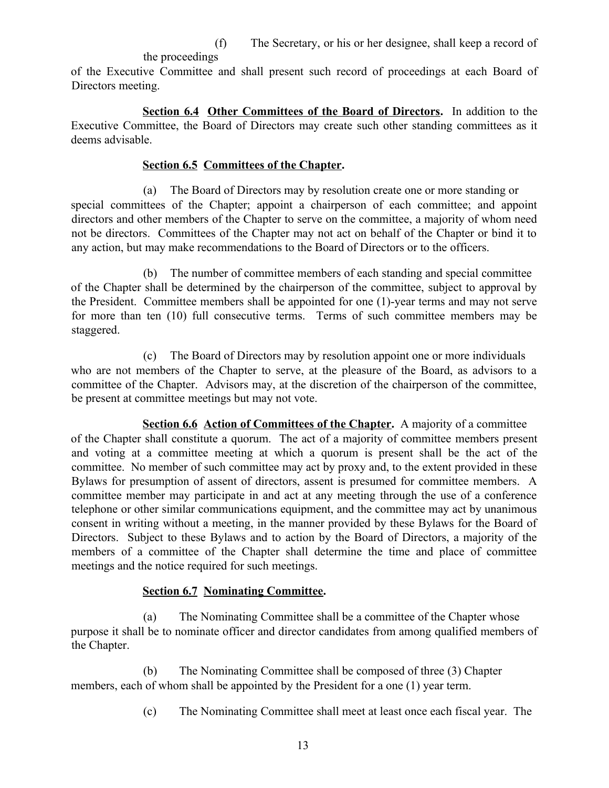(f) The Secretary, or his or her designee, shall keep a record of

the proceedings

of the Executive Committee and shall present such record of proceedings at each Board of Directors meeting.

**Section 6.4 Other Committees of the Board of Directors.** In addition to the Executive Committee, the Board of Directors may create such other standing committees as it deems advisable.

## **Section 6.5 Committees of the Chapter.**

(a) The Board of Directors may by resolution create one or more standing or special committees of the Chapter; appoint a chairperson of each committee; and appoint directors and other members of the Chapter to serve on the committee, a majority of whom need not be directors. Committees of the Chapter may not act on behalf of the Chapter or bind it to any action, but may make recommendations to the Board of Directors or to the officers.

(b) The number of committee members of each standing and special committee of the Chapter shall be determined by the chairperson of the committee, subject to approval by the President. Committee members shall be appointed for one (1)-year terms and may not serve for more than ten (10) full consecutive terms. Terms of such committee members may be staggered.

(c) The Board of Directors may by resolution appoint one or more individuals who are not members of the Chapter to serve, at the pleasure of the Board, as advisors to a committee of the Chapter. Advisors may, at the discretion of the chairperson of the committee, be present at committee meetings but may not vote.

**Section 6.6 Action of Committees of the Chapter.** A majority of a committee of the Chapter shall constitute a quorum. The act of a majority of committee members present and voting at a committee meeting at which a quorum is present shall be the act of the committee. No member of such committee may act by proxy and, to the extent provided in these Bylaws for presumption of assent of directors, assent is presumed for committee members. A committee member may participate in and act at any meeting through the use of a conference telephone or other similar communications equipment, and the committee may act by unanimous consent in writing without a meeting, in the manner provided by these Bylaws for the Board of Directors. Subject to these Bylaws and to action by the Board of Directors, a majority of the members of a committee of the Chapter shall determine the time and place of committee meetings and the notice required for such meetings.

# **Section 6.7 Nominating Committee.**

(a) The Nominating Committee shall be a committee of the Chapter whose purpose it shall be to nominate officer and director candidates from among qualified members of the Chapter.

(b) The Nominating Committee shall be composed of three (3) Chapter members, each of whom shall be appointed by the President for a one (1) year term.

(c) The Nominating Committee shall meet at least once each fiscal year. The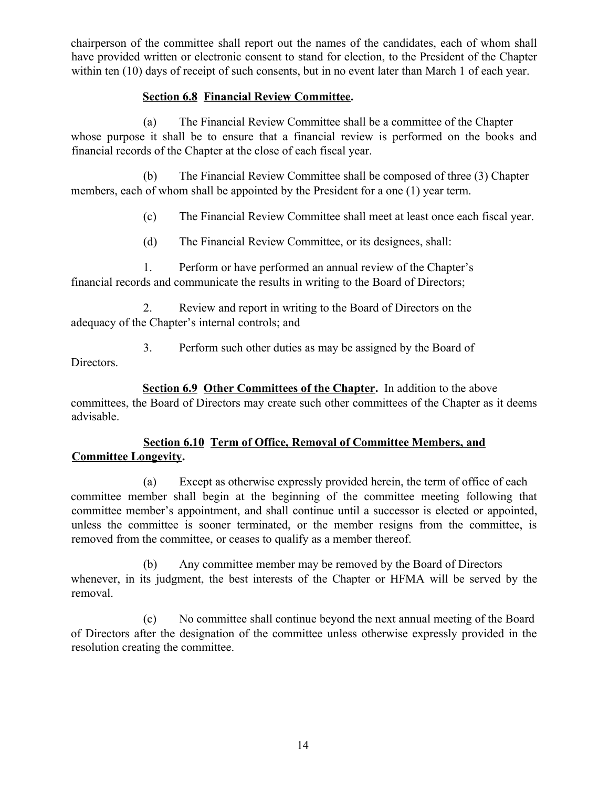chairperson of the committee shall report out the names of the candidates, each of whom shall have provided written or electronic consent to stand for election, to the President of the Chapter within ten (10) days of receipt of such consents, but in no event later than March 1 of each year.

# **Section 6.8 Financial Review Committee.**

(a) The Financial Review Committee shall be a committee of the Chapter whose purpose it shall be to ensure that a financial review is performed on the books and financial records of the Chapter at the close of each fiscal year.

(b) The Financial Review Committee shall be composed of three (3) Chapter members, each of whom shall be appointed by the President for a one (1) year term.

(c) The Financial Review Committee shall meet at least once each fiscal year.

(d) The Financial Review Committee, or its designees, shall:

1. Perform or have performed an annual review of the Chapter's financial records and communicate the results in writing to the Board of Directors;

2. Review and report in writing to the Board of Directors on the adequacy of the Chapter's internal controls; and

3. Perform such other duties as may be assigned by the Board of Directors.

**Section 6.9 Other Committees of the Chapter.** In addition to the above committees, the Board of Directors may create such other committees of the Chapter as it deems advisable.

# **Section 6.10 Term of Office, Removal of Committee Members, and Committee Longevity.**

(a) Except as otherwise expressly provided herein, the term of office of each committee member shall begin at the beginning of the committee meeting following that committee member's appointment, and shall continue until a successor is elected or appointed, unless the committee is sooner terminated, or the member resigns from the committee, is removed from the committee, or ceases to qualify as a member thereof.

(b) Any committee member may be removed by the Board of Directors whenever, in its judgment, the best interests of the Chapter or HFMA will be served by the removal.

(c) No committee shall continue beyond the next annual meeting of the Board of Directors after the designation of the committee unless otherwise expressly provided in the resolution creating the committee.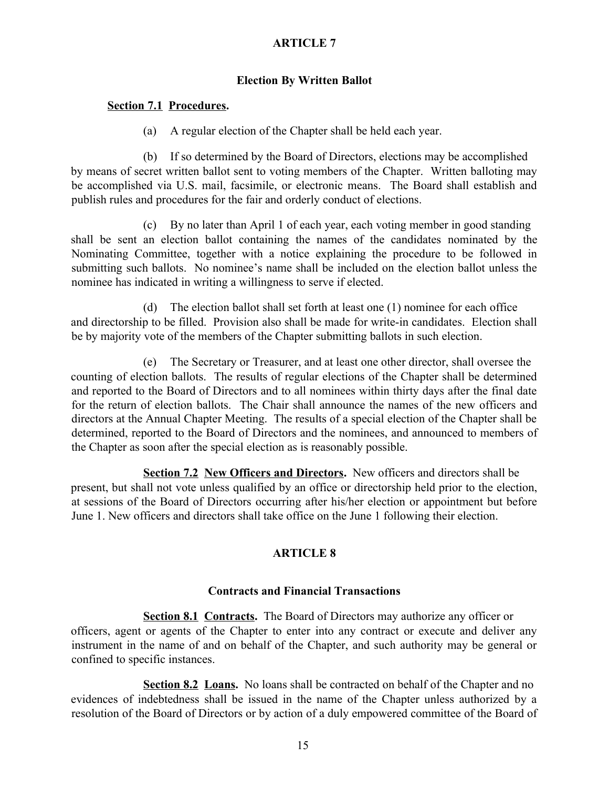## **ARTICLE 7**

#### **Election By Written Ballot**

#### **Section 7.1 Procedures.**

(a) A regular election of the Chapter shall be held each year.

(b) If so determined by the Board of Directors, elections may be accomplished by means of secret written ballot sent to voting members of the Chapter. Written balloting may be accomplished via U.S. mail, facsimile, or electronic means. The Board shall establish and publish rules and procedures for the fair and orderly conduct of elections.

(c) By no later than April 1 of each year, each voting member in good standing shall be sent an election ballot containing the names of the candidates nominated by the Nominating Committee, together with a notice explaining the procedure to be followed in submitting such ballots. No nominee's name shall be included on the election ballot unless the nominee has indicated in writing a willingness to serve if elected.

(d) The election ballot shall set forth at least one (1) nominee for each office and directorship to be filled. Provision also shall be made for write-in candidates. Election shall be by majority vote of the members of the Chapter submitting ballots in such election.

(e) The Secretary or Treasurer, and at least one other director, shall oversee the counting of election ballots. The results of regular elections of the Chapter shall be determined and reported to the Board of Directors and to all nominees within thirty days after the final date for the return of election ballots. The Chair shall announce the names of the new officers and directors at the Annual Chapter Meeting. The results of a special election of the Chapter shall be determined, reported to the Board of Directors and the nominees, and announced to members of the Chapter as soon after the special election as is reasonably possible.

**Section 7.2 New Officers and Directors.** New officers and directors shall be present, but shall not vote unless qualified by an office or directorship held prior to the election, at sessions of the Board of Directors occurring after his/her election or appointment but before June 1. New officers and directors shall take office on the June 1 following their election.

## **ARTICLE 8**

#### **Contracts and Financial Transactions**

**Section 8.1 Contracts.** The Board of Directors may authorize any officer or officers, agent or agents of the Chapter to enter into any contract or execute and deliver any instrument in the name of and on behalf of the Chapter, and such authority may be general or confined to specific instances.

**Section 8.2 Loans.** No loans shall be contracted on behalf of the Chapter and no evidences of indebtedness shall be issued in the name of the Chapter unless authorized by a resolution of the Board of Directors or by action of a duly empowered committee of the Board of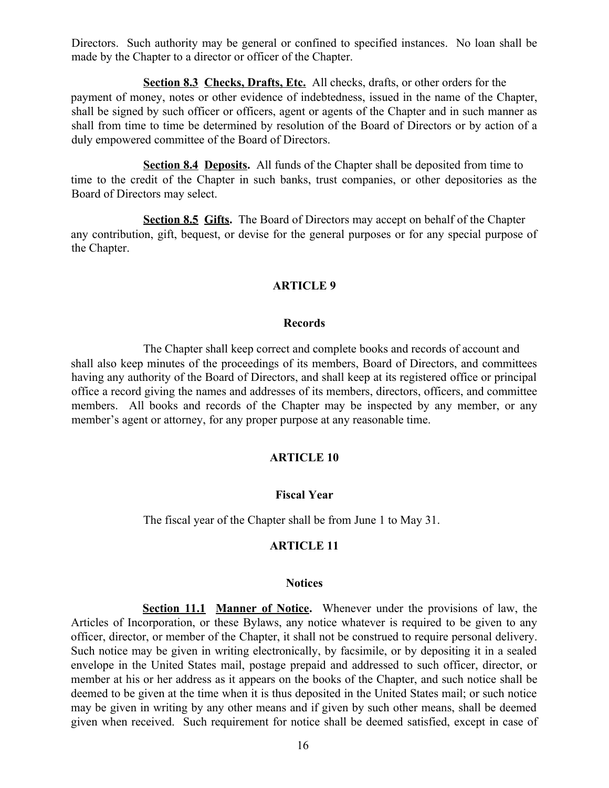Directors. Such authority may be general or confined to specified instances. No loan shall be made by the Chapter to a director or officer of the Chapter.

**Section 8.3 Checks, Drafts, Etc.** All checks, drafts, or other orders for the payment of money, notes or other evidence of indebtedness, issued in the name of the Chapter, shall be signed by such officer or officers, agent or agents of the Chapter and in such manner as shall from time to time be determined by resolution of the Board of Directors or by action of a duly empowered committee of the Board of Directors.

**Section 8.4 Deposits.** All funds of the Chapter shall be deposited from time to time to the credit of the Chapter in such banks, trust companies, or other depositories as the Board of Directors may select.

**Section 8.5 Gifts.** The Board of Directors may accept on behalf of the Chapter any contribution, gift, bequest, or devise for the general purposes or for any special purpose of the Chapter.

#### **ARTICLE 9**

#### **Records**

The Chapter shall keep correct and complete books and records of account and shall also keep minutes of the proceedings of its members, Board of Directors, and committees having any authority of the Board of Directors, and shall keep at its registered office or principal office a record giving the names and addresses of its members, directors, officers, and committee members. All books and records of the Chapter may be inspected by any member, or any member's agent or attorney, for any proper purpose at any reasonable time.

#### **ARTICLE 10**

#### **Fiscal Year**

The fiscal year of the Chapter shall be from June 1 to May 31.

#### **ARTICLE 11**

#### **Notices**

**Section 11.1 Manner of Notice.** Whenever under the provisions of law, the Articles of Incorporation, or these Bylaws, any notice whatever is required to be given to any officer, director, or member of the Chapter, it shall not be construed to require personal delivery. Such notice may be given in writing electronically, by facsimile, or by depositing it in a sealed envelope in the United States mail, postage prepaid and addressed to such officer, director, or member at his or her address as it appears on the books of the Chapter, and such notice shall be deemed to be given at the time when it is thus deposited in the United States mail; or such notice may be given in writing by any other means and if given by such other means, shall be deemed given when received. Such requirement for notice shall be deemed satisfied, except in case of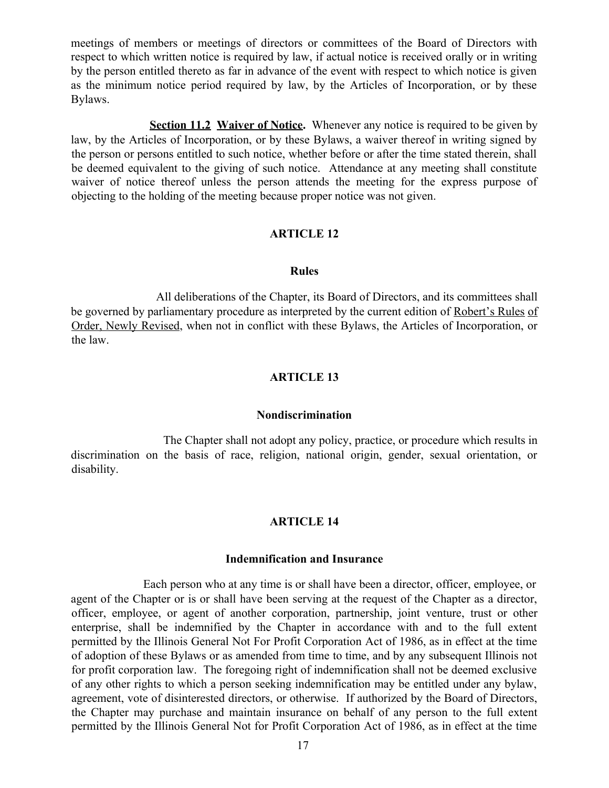meetings of members or meetings of directors or committees of the Board of Directors with respect to which written notice is required by law, if actual notice is received orally or in writing by the person entitled thereto as far in advance of the event with respect to which notice is given as the minimum notice period required by law, by the Articles of Incorporation, or by these Bylaws.

**Section 11.2 Waiver of Notice.** Whenever any notice is required to be given by law, by the Articles of Incorporation, or by these Bylaws, a waiver thereof in writing signed by the person or persons entitled to such notice, whether before or after the time stated therein, shall be deemed equivalent to the giving of such notice. Attendance at any meeting shall constitute waiver of notice thereof unless the person attends the meeting for the express purpose of objecting to the holding of the meeting because proper notice was not given.

#### **ARTICLE 12**

#### **Rules**

All deliberations of the Chapter, its Board of Directors, and its committees shall be governed by parliamentary procedure as interpreted by the current edition of Robert's Rules of Order, Newly Revised, when not in conflict with these Bylaws, the Articles of Incorporation, or the law.

#### **ARTICLE 13**

#### **Nondiscrimination**

The Chapter shall not adopt any policy, practice, or procedure which results in discrimination on the basis of race, religion, national origin, gender, sexual orientation, or disability.

#### **ARTICLE 14**

#### **Indemnification and Insurance**

Each person who at any time is or shall have been a director, officer, employee, or agent of the Chapter or is or shall have been serving at the request of the Chapter as a director, officer, employee, or agent of another corporation, partnership, joint venture, trust or other enterprise, shall be indemnified by the Chapter in accordance with and to the full extent permitted by the Illinois General Not For Profit Corporation Act of 1986, as in effect at the time of adoption of these Bylaws or as amended from time to time, and by any subsequent Illinois not for profit corporation law. The foregoing right of indemnification shall not be deemed exclusive of any other rights to which a person seeking indemnification may be entitled under any bylaw, agreement, vote of disinterested directors, or otherwise. If authorized by the Board of Directors, the Chapter may purchase and maintain insurance on behalf of any person to the full extent permitted by the Illinois General Not for Profit Corporation Act of 1986, as in effect at the time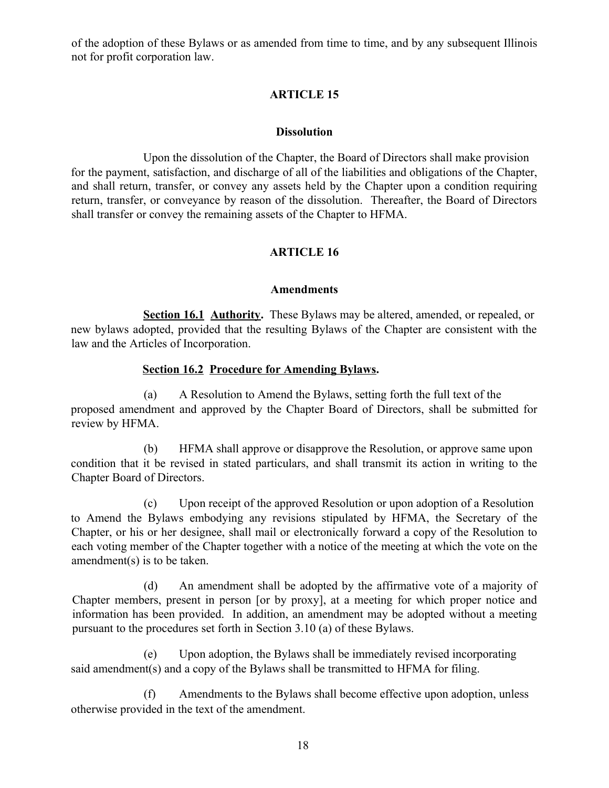of the adoption of these Bylaws or as amended from time to time, and by any subsequent Illinois not for profit corporation law.

# **ARTICLE 15**

#### **Dissolution**

Upon the dissolution of the Chapter, the Board of Directors shall make provision for the payment, satisfaction, and discharge of all of the liabilities and obligations of the Chapter, and shall return, transfer, or convey any assets held by the Chapter upon a condition requiring return, transfer, or conveyance by reason of the dissolution. Thereafter, the Board of Directors shall transfer or convey the remaining assets of the Chapter to HFMA.

# **ARTICLE 16**

#### **Amendments**

**Section 16.1 Authority.** These Bylaws may be altered, amended, or repealed, or new bylaws adopted, provided that the resulting Bylaws of the Chapter are consistent with the law and the Articles of Incorporation.

## **Section 16.2 Procedure for Amending Bylaws.**

(a) A Resolution to Amend the Bylaws, setting forth the full text of the proposed amendment and approved by the Chapter Board of Directors, shall be submitted for review by HFMA.

(b) HFMA shall approve or disapprove the Resolution, or approve same upon condition that it be revised in stated particulars, and shall transmit its action in writing to the Chapter Board of Directors.

(c) Upon receipt of the approved Resolution or upon adoption of a Resolution to Amend the Bylaws embodying any revisions stipulated by HFMA, the Secretary of the Chapter, or his or her designee, shall mail or electronically forward a copy of the Resolution to each voting member of the Chapter together with a notice of the meeting at which the vote on the amendment(s) is to be taken.

(d) An amendment shall be adopted by the affirmative vote of a majority of Chapter members, present in person [or by proxy], at a meeting for which proper notice and information has been provided. In addition, an amendment may be adopted without a meeting pursuant to the procedures set forth in Section 3.10 (a) of these Bylaws.

(e) Upon adoption, the Bylaws shall be immediately revised incorporating said amendment(s) and a copy of the Bylaws shall be transmitted to HFMA for filing.

(f) Amendments to the Bylaws shall become effective upon adoption, unless otherwise provided in the text of the amendment.